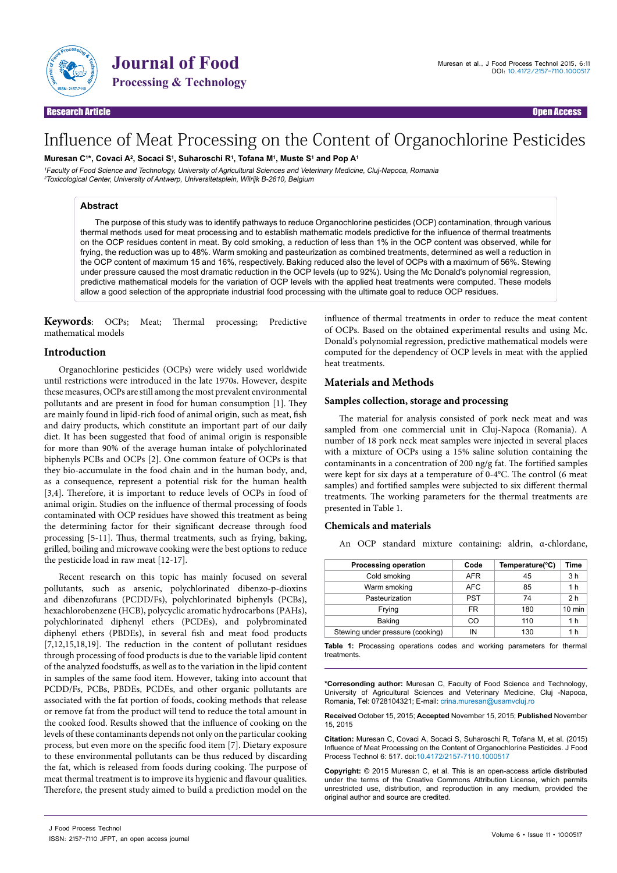

**Solution Solution Service Service Service Service Service Service Service Service Service Service Service Service Service Service Service Service Service Service Service Service Service Service Service Service Service Ser** 

# Influence of Meat Processing on the Content of Organochlorine Pesticides

**Muresan C1 \*, Covaci A2 , Socaci S1 , Suharoschi R1 , Tofana M1 , Muste S1 and Pop A1**

<sup>1</sup>Faculty of Food Science and Technology, University of Agricultural Sciences and Veterinary Medicine, Cluj-Napoca, Romania <sup>2</sup>Toxicological Center, University of Antwerp, Universitetsplein, Wilrijk B-2610, Belgium

## **Abstract**

The purpose of this study was to identify pathways to reduce Organochlorine pesticides (OCP) contamination, through various thermal methods used for meat processing and to establish mathematic models predictive for the influence of thermal treatments on the OCP residues content in meat. By cold smoking, a reduction of less than 1% in the OCP content was observed, while for frying, the reduction was up to 48%. Warm smoking and pasteurization as combined treatments, determined as well a reduction in the OCP content of maximum 15 and 16%, respectively. Baking reduced also the level of OCPs with a maximum of 56%. Stewing under pressure caused the most dramatic reduction in the OCP levels (up to 92%). Using the Mc Donald's polynomial regression, predictive mathematical models for the variation of OCP levels with the applied heat treatments were computed. These models allow a good selection of the appropriate industrial food processing with the ultimate goal to reduce OCP residues.

**Keywords**: OCPs; Meat; Thermal processing; Predictive mathematical models

# **Introduction**

Organochlorine pesticides (OCPs) were widely used worldwide until restrictions were introduced in the late 1970s. However, despite these measures, OCPs are still among the most prevalent environmental pollutants and are present in food for human consumption [1]. They are mainly found in lipid-rich food of animal origin, such as meat, fish and dairy products, which constitute an important part of our daily diet. It has been suggested that food of animal origin is responsible for more than 90% of the average human intake of polychlorinated biphenyls PCBs and OCPs [2]. One common feature of OCPs is that they bio-accumulate in the food chain and in the human body, and, as a consequence, represent a potential risk for the human health [3,4]. Therefore, it is important to reduce levels of OCPs in food of animal origin. Studies on the influence of thermal processing of foods contaminated with OCP residues have showed this treatment as being the determining factor for their significant decrease through food processing [5-11]. Thus, thermal treatments, such as frying, baking, grilled, boiling and microwave cooking were the best options to reduce the pesticide load in raw meat [12-17].

Recent research on this topic has mainly focused on several pollutants, such as arsenic, polychlorinated dibenzo-p-dioxins and dibenzofurans (PCDD/Fs), polychlorinated biphenyls (PCBs), hexachlorobenzene (HCB), polycyclic aromatic hydrocarbons (PAHs), polychlorinated diphenyl ethers (PCDEs), and polybrominated diphenyl ethers (PBDEs), in several fish and meat food products [7,12,15,18,19]. The reduction in the content of pollutant residues through processing of food products is due to the variable lipid content of the analyzed foodstuffs, as well as to the variation in the lipid content in samples of the same food item. However, taking into account that PCDD/Fs, PCBs, PBDEs, PCDEs, and other organic pollutants are associated with the fat portion of foods, cooking methods that release or remove fat from the product will tend to reduce the total amount in the cooked food. Results showed that the influence of cooking on the levels of these contaminants depends not only on the particular cooking process, but even more on the specific food item [7]. Dietary exposure to these environmental pollutants can be thus reduced by discarding the fat, which is released from foods during cooking. The purpose of meat thermal treatment is to improve its hygienic and flavour qualities. Therefore, the present study aimed to build a prediction model on the influence of thermal treatments in order to reduce the meat content of OCPs. Based on the obtained experimental results and using Mc. Donald's polynomial regression, predictive mathematical models were computed for the dependency of OCP levels in meat with the applied heat treatments.

# **Materials and Methods**

## **Samples collection, storage and processing**

The material for analysis consisted of pork neck meat and was sampled from one commercial unit in Cluj-Napoca (Romania). A number of 18 pork neck meat samples were injected in several places with a mixture of OCPs using a 15% saline solution containing the contaminants in a concentration of 200 ng/g fat. The fortified samples were kept for six days at a temperature of 0-4°C. The control (6 meat samples) and fortified samples were subjected to six different thermal treatments. The working parameters for the thermal treatments are presented in Table 1.

## **Chemicals and materials**

An OCP standard mixture containing: aldrin, α-chlordane,

| Processing operation             | Code       | Temperature(°C) | Time             |
|----------------------------------|------------|-----------------|------------------|
| Cold smoking                     | <b>AFR</b> | 45              | 3 h              |
| Warm smoking                     | <b>AFC</b> | 85              | 1 h              |
| Pasteurization                   | <b>PST</b> | 74              | 2 <sub>h</sub>   |
| Frying                           | FR         | 180             | $10 \text{ min}$ |
| Baking                           | CO         | 110             | 1 h              |
| Stewing under pressure (cooking) | ΙN         | 130             | 1 h              |

**Table 1:** Processing operations codes and working parameters for thermal treatments.

**\*Corresonding author:** Muresan C, Faculty of Food Science and Technology, University of Agricultural Sciences and Veterinary Medicine, Cluj -Napoca, Romania, Tel: 0728104321; E-mail: [crina.muresan@usamvcluj.ro](mailto:crina.muresan@usamvcluj.ro)

**Received** October 15, 2015; **Accepted** November 15, 2015; **Published** November 15, 2015

**Citation:** Muresan C, Covaci A, Socaci S, Suharoschi R, Tofana M, et al. (2015) Influence of Meat Processing on the Content of Organochlorine Pesticides. J Food Process Technol 6: 517. doi:10.4172/2157-7110.1000517

**Copyright:** © 2015 Muresan C, et al. This is an open-access article distributed under the terms of the Creative Commons Attribution License, which permits unrestricted use, distribution, and reproduction in any medium, provided the original author and source are credited.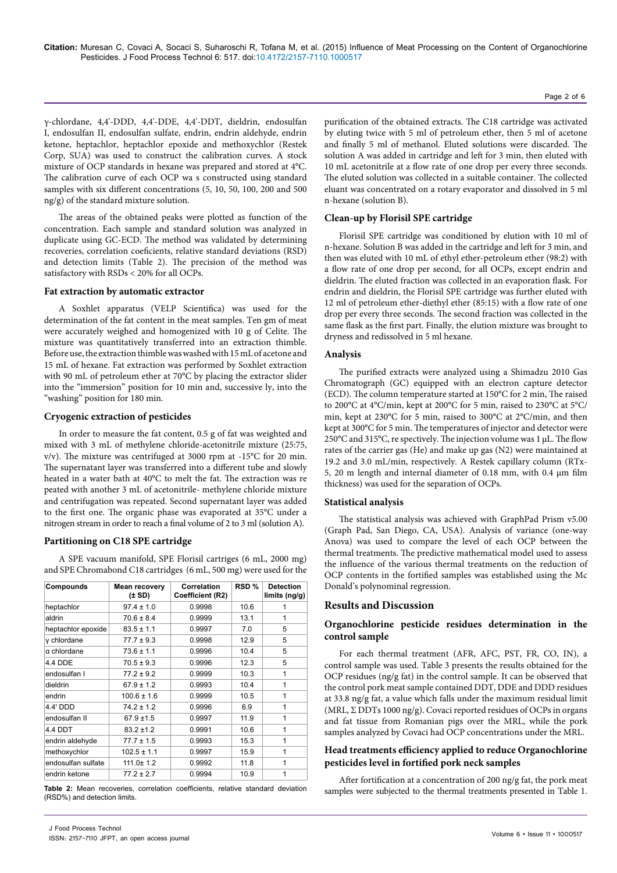γ-chlordane, 4,4'-DDD, 4,4'-DDE, 4,4'-DDT, dieldrin, endosulfan I, endosulfan II, endosulfan sulfate, endrin, endrin aldehyde, endrin ketone, heptachlor, heptachlor epoxide and methoxychlor (Restek Corp, SUA) was used to construct the calibration curves. A stock mixture of OCP standards in hexane was prepared and stored at 4°C. The calibration curve of each OCP wa s constructed using standard samples with six different concentrations (5, 10, 50, 100, 200 and 500 ng/g) of the standard mixture solution.

The areas of the obtained peaks were plotted as function of the concentration. Each sample and standard solution was analyzed in duplicate using GC-ECD. The method was validated by determining recoveries, correlation coeficients, relative standard deviations (RSD) and detection limits (Table 2). The precision of the method was satisfactory with RSDs < 20% for all OCPs.

# **Fat extraction by automatic extractor**

A Soxhlet apparatus (VELP Scientifica) was used for the determination of the fat content in the meat samples. Ten gm of meat were accurately weighed and homogenized with 10 g of Celite. The mixture was quantitatively transferred into an extraction thimble. Before use, the extraction thimble was washed with 15 mL of acetone and 15 mL of hexane. Fat extraction was performed by Soxhlet extraction with 90 mL of petroleum ether at 70°C by placing the extractor slider into the "immersion" position for 10 min and, successive ly, into the "washing" position for 180 min.

## **Cryogenic extraction of pesticides**

In order to measure the fat content, 0.5 g of fat was weighted and mixed with 3 mL of methylene chloride-acetonitrile mixture (25:75, v/v). The mixture was centrifuged at 3000 rpm at -15°C for 20 min. The supernatant layer was transferred into a different tube and slowly heated in a water bath at 40°C to melt the fat. The extraction was re peated with another 3 mL of acetonitrile- methylene chloride mixture and centrifugation was repeated. Second supernatant layer was added to the first one. The organic phase was evaporated at 35°C under a nitrogen stream in order to reach a final volume of 2 to 3 ml (solution A).

## **Partitioning on C18 SPE cartridge**

A SPE vacuum manifold, SPE Florisil cartriges (6 mL, 2000 mg) and SPE Chromabond C18 cartridges (6 mL, 500 mg) were used for the

| Compounds          | <b>Mean recovery</b><br>$(\pm SD)$ | Correlation<br>Coefficient (R2) | RSD % | <b>Detection</b><br>limits(ng/g) |
|--------------------|------------------------------------|---------------------------------|-------|----------------------------------|
| heptachlor         | $97.4 \pm 1.0$                     | 0.9998                          | 10.6  | 1                                |
| aldrin             | $70.6 \pm 8.4$                     | 0.9999                          | 13.1  | 1                                |
| heptachlor epoxide | $83.5 \pm 1.1$                     | 0.9997                          | 7.0   | 5                                |
| y chlordane        | $77.7 \pm 9.3$                     | 0.9998                          | 12.9  | 5                                |
| α chlordane        | $73.6 \pm 1.1$                     | 0.9996                          | 10.4  | 5                                |
| 4.4 DDE            | $70.5 \pm 9.3$                     | 0.9996                          | 12.3  | 5                                |
| endosulfan I       | $77.2 \pm 9.2$                     | 0.9999                          | 10.3  | 1                                |
| dieldrin           | $67.9 \pm 1.2$                     | 0.9993                          | 10.4  | 1                                |
| endrin             | $100.6 \pm 1.6$                    | 0.9999                          | 10.5  | 1                                |
| 4.4' DDD           | $74.2 \pm 1.2$                     | 0.9996                          | 6.9   | 1                                |
| endosulfan II      | $67.9 \pm 1.5$                     | 0.9997                          | 11.9  | 1                                |
| 4.4 DDT            | $83.2 \pm 1.2$                     | 0.9991                          | 10.6  | 1                                |
| endrin aldehyde    | $77.7 \pm 1.5$                     | 0.9993                          | 15.3  | 1                                |
| methoxychlor       | $102.5 \pm 1.1$                    | 0.9997                          | 15.9  | 1                                |
| endosulfan sulfate | $111.0 \pm 1.2$                    | 0.9992                          | 11.8  | 1                                |
| endrin ketone      | $77.2 \pm 2.7$                     | 0.9994                          | 10.9  | 1                                |

(RSD%) and detection limits.

purification of the obtained extracts. The C18 cartridge was activated by eluting twice with 5 ml of petroleum ether, then 5 ml of acetone and finally 5 ml of methanol. Eluted solutions were discarded. The solution A was added in cartridge and left for 3 min, then eluted with 10 mL acetonitrile at a flow rate of one drop per every three seconds. The eluted solution was collected in a suitable container. The collected eluant was concentrated on a rotary evaporator and dissolved in 5 ml n-hexane (solution B).

## **Clean-up by Florisil SPE cartridge**

Florisil SPE cartridge was conditioned by elution with 10 ml of n-hexane. Solution B was added in the cartridge and left for 3 min, and then was eluted with 10 mL of ethyl ether-petroleum ether (98:2) with a flow rate of one drop per second, for all OCPs, except endrin and dieldrin. The eluted fraction was collected in an evaporation flask. For endrin and dieldrin, the Florisil SPE cartridge was further eluted with 12 ml of petroleum ether-diethyl ether (85:15) with a flow rate of one drop per every three seconds. The second fraction was collected in the same flask as the first part. Finally, the elution mixture was brought to dryness and redissolved in 5 ml hexane.

#### **Analysis**

The purified extracts were analyzed using a Shimadzu 2010 Gas Chromatograph (GC) equipped with an electron capture detector (ECD). The column temperature started at 150°C for 2 min, The raised to 200°C at 4°C/min, kept at 200°C for 5 min, raised to 230°C at 5°C/ min, kept at 230°C for 5 min, raised to 300°C at 2°C/min, and then kept at 300°C for 5 min. The temperatures of injector and detector were 250°C and 315°C, re spectively. The injection volume was 1 µL. The flow rates of the carrier gas (He) and make up gas (N2) were maintained at 19.2 and 3.0 mL/min, respectively. A Restek capillary column (RTx-5, 20 m length and internal diameter of 0.18 mm, with 0.4 µm film thickness) was used for the separation of OCPs.

### **Statistical analysis**

The statistical analysis was achieved with GraphPad Prism v5.00 (Graph Pad, San Diego, CA, USA). Analysis of variance (one-way Anova) was used to compare the level of each OCP between the thermal treatments. The predictive mathematical model used to assess the influence of the various thermal treatments on the reduction of OCP contents in the fortified samples was established using the Mc Donald's polynominal regression.

# **Results and Discussion**

# **Organochlorine pesticide residues determination in the control sample**

For each thermal treatment (AFR, AFC, PST, FR, CO, IN), a control sample was used. Table 3 presents the results obtained for the OCP residues (ng/g fat) in the control sample. It can be observed that the control pork meat sample contained DDT, DDE and DDD residues at 33.8 ng/g fat, a value which falls under the maximum residual limit (MRL, Σ DDTs 1000 ng/g). Covaci reported residues of OCPs in organs and fat tissue from Romanian pigs over the MRL, while the pork samples analyzed by Covaci had OCP concentrations under the MRL.

# **Head treatments efficiency applied to reduce Organochlorine pesticides level in fortified pork neck samples**

After fortification at a concentration of 200 ng/g fat, the pork meat Table 2: Mean recoveries, correlation coefficients, relative standard deviation samples were subjected to the thermal treatments presented in Table 1.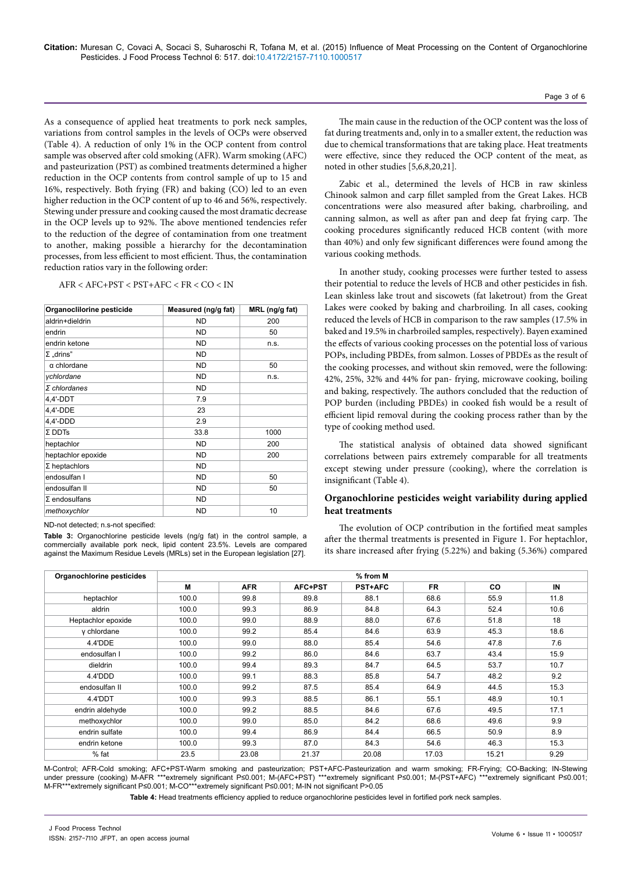As a consequence of applied heat treatments to pork neck samples, variations from control samples in the levels of OCPs were observed (Table 4). A reduction of only 1% in the OCP content from control sample was observed after cold smoking (AFR). Warm smoking (AFC) and pasteurization (PST) as combined treatments determined a higher reduction in the OCP contents from control sample of up to 15 and 16%, respectively. Both frying (FR) and baking (CO) led to an even higher reduction in the OCP content of up to 46 and 56%, respectively. Stewing under pressure and cooking caused the most dramatic decrease in the OCP levels up to 92%. The above mentioned tendencies refer to the reduction of the degree of contamination from one treatment to another, making possible a hierarchy for the decontamination processes, from less efficient to most efficient. Thus, the contamination reduction ratios vary in the following order:

AFR < AFC+PST < PST+AFC < FR < CO < IN

| Organoclilorine pesticide | Measured (ng/g fat) | MRL (ng/g fat) |
|---------------------------|---------------------|----------------|
| aldrin+dieldrin           | <b>ND</b>           | 200            |
| endrin                    | <b>ND</b>           | 50             |
| endrin ketone             | <b>ND</b>           | n.s.           |
| $\Sigma$ "drins"          | <b>ND</b>           |                |
| $\alpha$ chlordane        | <b>ND</b>           | 50             |
| ychlordane                | <b>ND</b>           | n.s.           |
| $\Sigma$ chlordanes       | <b>ND</b>           |                |
| 4,4'-DDT                  | 7.9                 |                |
| 4,4'-DDE                  | 23                  |                |
| 4,4'-DDD                  | 2.9                 |                |
| $\Sigma$ DDTs             | 33.8                | 1000           |
| heptachlor                | <b>ND</b>           | 200            |
| heptachlor epoxide        | <b>ND</b>           | 200            |
| $\Sigma$ heptachlors      | <b>ND</b>           |                |
| endosulfan I              | <b>ND</b>           | 50             |
| endosulfan II             | <b>ND</b>           | 50             |
| $\Sigma$ endosulfans      | <b>ND</b>           |                |
| methoxychlor              | <b>ND</b>           | 10             |

ND-not detected; n.s-not specified:

**Table 3:** Organochlorine pesticide levels (ng/g fat) in the control sample, a commercially available pork neck, lipid content 23.5%. Levels are compared against the Maximum Residue Levels (MRLs) set in the European legislation [27].

The main cause in the reduction of the OCP content was the loss of fat during treatments and, only in to a smaller extent, the reduction was due to chemical transformations that are taking place. Heat treatments were effective, since they reduced the OCP content of the meat, as noted in other studies [5,6,8,20,21].

Page 3 of 6

Zabic et al., determined the levels of HCB in raw skinless Chinook salmon and carp fillet sampled from the Great Lakes. HCB concentrations were also measured after baking, charbroiling, and canning salmon, as well as after pan and deep fat frying carp. The cooking procedures significantly reduced HCB content (with more than 40%) and only few significant differences were found among the various cooking methods.

In another study, cooking processes were further tested to assess their potential to reduce the levels of HCB and other pesticides in fish. Lean skinless lake trout and siscowets (fat laketrout) from the Great Lakes were cooked by baking and charbroiling. In all cases, cooking reduced the levels of HCB in comparison to the raw samples (17.5% in baked and 19.5% in charbroiled samples, respectively). Bayen examined the effects of various cooking processes on the potential loss of various POPs, including PBDEs, from salmon. Losses of PBDEs as the result of the cooking processes, and without skin removed, were the following: 42%, 25%, 32% and 44% for pan- frying, microwave cooking, boiling and baking, respectively. The authors concluded that the reduction of POP burden (including PBDEs) in cooked fish would be a result of efficient lipid removal during the cooking process rather than by the type of cooking method used.

The statistical analysis of obtained data showed significant correlations between pairs extremely comparable for all treatments except stewing under pressure (cooking), where the correlation is insignificant (Table 4).

# **Organochlorine pesticides weight variability during applied heat treatments**

The evolution of OCP contribution in the fortified meat samples after the thermal treatments is presented in Figure 1. For heptachlor, its share increased after frying (5.22%) and baking (5.36%) compared

| Organochlorine pesticides | % from M |            |         |                |           |       |      |
|---------------------------|----------|------------|---------|----------------|-----------|-------|------|
|                           | М        | <b>AFR</b> | AFC+PST | <b>PST+AFC</b> | <b>FR</b> | CO    | IN   |
| heptachlor                | 100.0    | 99.8       | 89.8    | 88.1           | 68.6      | 55.9  | 11.8 |
| aldrin                    | 100.0    | 99.3       | 86.9    | 84.8           | 64.3      | 52.4  | 10.6 |
| Heptachlor epoxide        | 100.0    | 99.0       | 88.9    | 88.0           | 67.6      | 51.8  | 18   |
| y chlordane               | 100.0    | 99.2       | 85.4    | 84.6           | 63.9      | 45.3  | 18.6 |
| 4.4'DDE                   | 100.0    | 99.0       | 88.0    | 85.4           | 54.6      | 47.8  | 7.6  |
| endosulfan I              | 100.0    | 99.2       | 86.0    | 84.6           | 63.7      | 43.4  | 15.9 |
| dieldrin                  | 100.0    | 99.4       | 89.3    | 84.7           | 64.5      | 53.7  | 10.7 |
| 4.4'DDD                   | 100.0    | 99.1       | 88.3    | 85.8           | 54.7      | 48.2  | 9.2  |
| endosulfan II             | 100.0    | 99.2       | 87.5    | 85.4           | 64.9      | 44.5  | 15.3 |
| 4.4'DDT                   | 100.0    | 99.3       | 88.5    | 86.1           | 55.1      | 48.9  | 10.1 |
| endrin aldehyde           | 100.0    | 99.2       | 88.5    | 84.6           | 67.6      | 49.5  | 17.1 |
| methoxychlor              | 100.0    | 99.0       | 85.0    | 84.2           | 68.6      | 49.6  | 9.9  |
| endrin sulfate            | 100.0    | 99.4       | 86.9    | 84.4           | 66.5      | 50.9  | 8.9  |
| endrin ketone             | 100.0    | 99.3       | 87.0    | 84.3           | 54.6      | 46.3  | 15.3 |
| $%$ fat                   | 23.5     | 23.08      | 21.37   | 20.08          | 17.03     | 15.21 | 9.29 |

M-Control; AFR-Cold smoking; AFC+PST-Warm smoking and pasteurization; PST+AFC-Pasteurization and warm smoking; FR-Frying; CO-Backing; IN-Stewing under pressure (cooking) M-AFR \*\*\*extremely significant P≤0.001; M-(AFC+PST) \*\*\*extremely significant P≤0.001; M-(PST+AFC) \*\*\*extremely significant P≤0.001; M-FR\*\*\*extremely significant P≤0.001; M-CO\*\*\*extremely significant P≤0.001; M-IN not significant P>0.05

**Table 4:** Head treatments efficiency applied to reduce organochlorine pesticides level in fortified pork neck samples.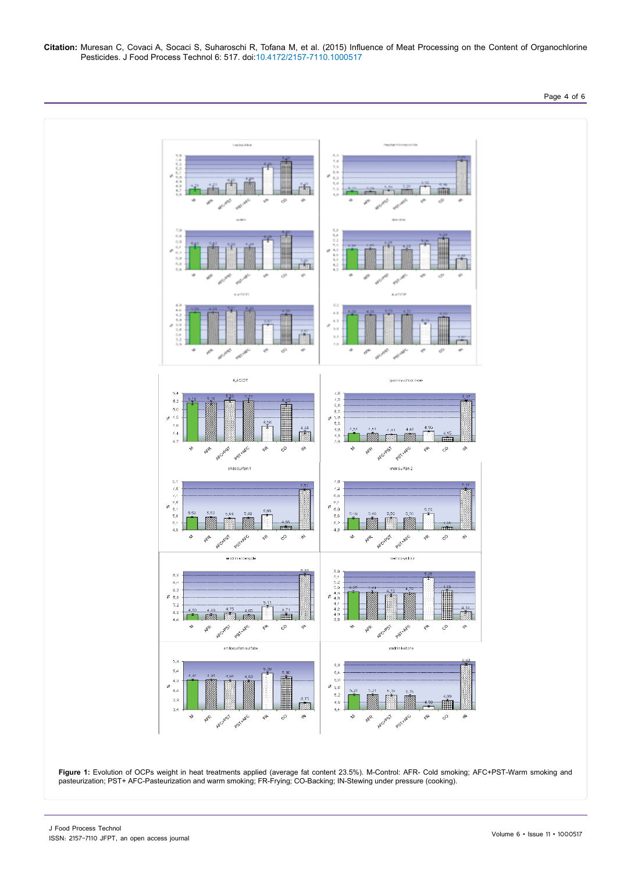**Citation:** Muresan C, Covaci A, Socaci S, Suharoschi R, Tofana M, et al. (2015) Influence of Meat Processing on the Content of Organochlorine Pesticides. J Food Process Technol 6: 517. doi:10.4172/2157-7110.1000517



pasteurization; PST+ AFC-Pasteurization and warm smoking; FR-Frying; CO-Backing; IN-Stewing under pressure (cooking).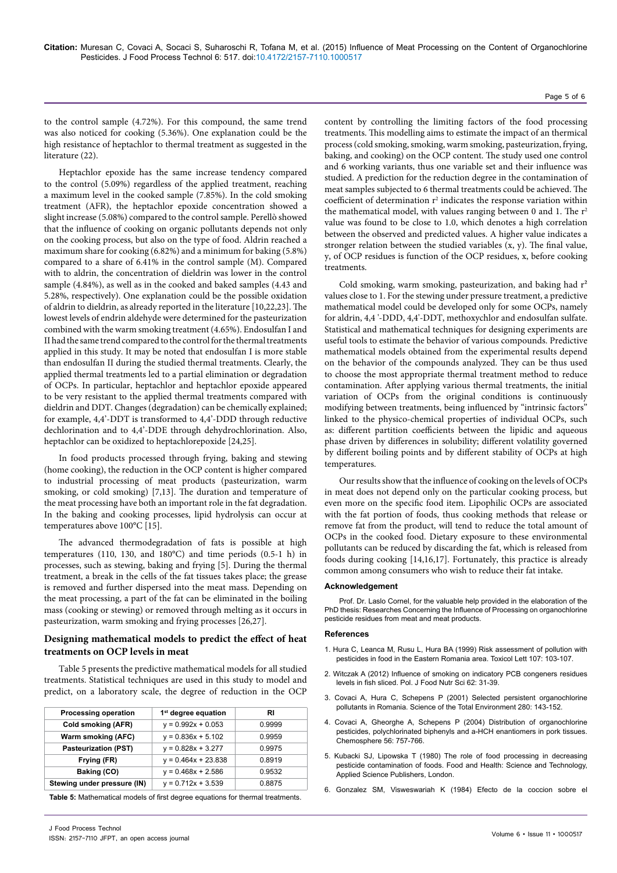## Page 5 of 6

to the control sample (4.72%). For this compound, the same trend was also noticed for cooking (5.36%). One explanation could be the high resistance of heptachlor to thermal treatment as suggested in the literature (22).

Heptachlor epoxide has the same increase tendency compared to the control (5.09%) regardless of the applied treatment, reaching a maximum level in the cooked sample (7.85%). In the cold smoking treatment (AFR), the heptachlor epoxide concentration showed a slight increase (5.08%) compared to the control sample. Perellò showed that the influence of cooking on organic pollutants depends not only on the cooking process, but also on the type of food. Aldrin reached a maximum share for cooking (6.82%) and a minimum for baking (5.8%) compared to a share of 6.41% in the control sample (M). Compared with to aldrin, the concentration of dieldrin was lower in the control sample (4.84%), as well as in the cooked and baked samples (4.43 and 5.28%, respectively). One explanation could be the possible oxidation of aldrin to dieldrin, as already reported in the literature [10,22,23]. The lowest levels of endrin aldehyde were determined for the pasteurization combined with the warm smoking treatment (4.65%). Endosulfan I and II had the same trend compared to the control for the thermal treatments applied in this study. It may be noted that endosulfan I is more stable than endosulfan II during the studied thermal treatments. Clearly, the applied thermal treatments led to a partial elimination or degradation of OCPs. In particular, heptachlor and heptachlor epoxide appeared to be very resistant to the applied thermal treatments compared with dieldrin and DDT. Changes (degradation) can be chemically explained; for example, 4,4'-DDT is transformed to 4,4'-DDD through reductive dechlorination and to 4,4'-DDE through dehydrochlorination. Also, heptachlor can be oxidized to heptachlorepoxide [24,25].

In food products processed through frying, baking and stewing (home cooking), the reduction in the OCP content is higher compared to industrial processing of meat products (pasteurization, warm smoking, or cold smoking) [7,13]. The duration and temperature of the meat processing have both an important role in the fat degradation. In the baking and cooking processes, lipid hydrolysis can occur at temperatures above 100°C [15].

The advanced thermodegradation of fats is possible at high temperatures (110, 130, and 180°C) and time periods (0.5-1 h) in processes, such as stewing, baking and frying [5]. During the thermal treatment, a break in the cells of the fat tissues takes place; the grease is removed and further dispersed into the meat mass. Depending on the meat processing, a part of the fat can be eliminated in the boiling mass (cooking or stewing) or removed through melting as it occurs in pasteurization, warm smoking and frying processes [26,27].

# **Designing mathematical models to predict the effect of heat treatments on OCP levels in meat**

Table 5 presents the predictive mathematical models for all studied treatments. Statistical techniques are used in this study to model and predict, on a laboratory scale, the degree of reduction in the OCP

| <b>Processing operation</b> | 1 <sup>st</sup> degree equation | RI     |
|-----------------------------|---------------------------------|--------|
| Cold smoking (AFR)          | $y = 0.992x + 0.053$            | 0.9999 |
| Warm smoking (AFC)          | $y = 0.836x + 5.102$            | 0.9959 |
| <b>Pasteurization (PST)</b> | $y = 0.828x + 3.277$            | 0.9975 |
| Frying (FR)                 | $y = 0.464x + 23.838$           | 0.8919 |
| Baking (CO)                 | $y = 0.468x + 2.586$            | 0.9532 |
| Stewing under pressure (IN) | $y = 0.712x + 3.539$            | 0.8875 |

**Table 5:** Mathematical models of first degree equations for thermal treatments.

content by controlling the limiting factors of the food processing treatments. This modelling aims to estimate the impact of an thermical process (cold smoking, smoking, warm smoking, pasteurization, frying, baking, and cooking) on the OCP content. The study used one control and 6 working variants, thus one variable set and their influence was studied. A prediction for the reduction degree in the contamination of meat samples subjected to 6 thermal treatments could be achieved. The coefficient of determination  $r^2$  indicates the response variation within the mathematical model, with values ranging between 0 and 1. The  $r<sup>2</sup>$ value was found to be close to 1.0, which denotes a high correlation between the observed and predicted values. A higher value indicates a stronger relation between the studied variables (x, y). The final value, y, of OCP residues is function of the OCP residues, x, before cooking treatments.

Cold smoking, warm smoking, pasteurization, and baking had  $r<sup>2</sup>$ values close to 1. For the stewing under pressure treatment, a predictive mathematical model could be developed only for some OCPs, namely for aldrin, 4,4 '-DDD, 4,4'-DDT, methoxychlor and endosulfan sulfate. Statistical and mathematical techniques for designing experiments are useful tools to estimate the behavior of various compounds. Predictive mathematical models obtained from the experimental results depend on the behavior of the compounds analyzed. They can be thus used to choose the most appropriate thermal treatment method to reduce contamination. After applying various thermal treatments, the initial variation of OCPs from the original conditions is continuously modifying between treatments, being influenced by "intrinsic factors" linked to the physico-chemical properties of individual OCPs, such as: different partition coefficients between the lipidic and aqueous phase driven by differences in solubility; different volatility governed by different boiling points and by different stability of OCPs at high temperatures.

Our results show that the influence of cooking on the levels of OCPs in meat does not depend only on the particular cooking process, but even more on the specific food item. Lipophilic OCPs are associated with the fat portion of foods, thus cooking methods that release or remove fat from the product, will tend to reduce the total amount of OCPs in the cooked food. Dietary exposure to these environmental pollutants can be reduced by discarding the fat, which is released from foods during cooking [14,16,17]. Fortunately, this practice is already common among consumers who wish to reduce their fat intake.

#### **Acknowledgement**

Prof. Dr. Laslo Cornel, for the valuable help provided in the elaboration of the PhD thesis: Researches Concerning the Influence of Processing on organochlorine pesticide residues from meat and meat products.

#### **References**

- 1. [Hura C, Leanca M, Rusu L, Hura BA \(1999\) Risk assessment of pollution with](http://www.ncbi.nlm.nih.gov/pubmed/10414787)  [pesticides in food in the Eastern Romania area. Toxicol Lett 107: 103-107.](http://www.ncbi.nlm.nih.gov/pubmed/10414787)
- 2. [Witczak A \(2012\) Influence of smoking on indicatory PCB congeners residues](http://journal.pan.olsztyn.pl/fd.php?f=1316)  [levels in fish sliced. Pol. J Food Nutr Sci 62: 31-39.](http://journal.pan.olsztyn.pl/fd.php?f=1316)
- 3. [Covaci A, Hura C, Schepens P \(2001\) Selected persistent organochlorine](http://www.sciencedirect.com/science/article/pii/S0048969701008208)  [pollutants in Romania. Science of the Total Environment 280: 143-152.](http://www.sciencedirect.com/science/article/pii/S0048969701008208)
- 4. Covaci A, Gh[eorghe A, Schepens P \(2004\) Distribution of organochlorine](http://www.sciencedirect.com/science/article/pii/S0045653504001298)  [pesticides, polychlorinated biphenyls and a-HCH enantiomers in pork tissues.](http://www.sciencedirect.com/science/article/pii/S0045653504001298)  [Chemosphere 56: 757-766.](http://www.sciencedirect.com/science/article/pii/S0045653504001298)
- 5. [Kubacki SJ, Lipowska T \(1980\) The role of food processing in decreasing](http://link.springer.com/chapter/10.1007/978-94-009-8718-0_14)  [pesticide contamination of foods. Food and Health: Science and Technology,](http://link.springer.com/chapter/10.1007/978-94-009-8718-0_14)  [Applied Science Publishers, London.](http://link.springer.com/chapter/10.1007/978-94-009-8718-0_14)
- 6. Gonzalez SM, Visweswariah K (1984) Efecto de la coccion sobre el